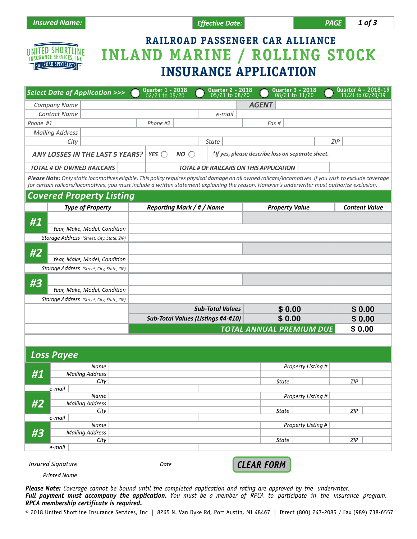

*e-mail*

# **RAILROAD PASSENGER CAR ALLIANCE INLAND MARINE / ROLLING STOCK INSURANCE APPLICATION**

|          | <b>Select Date of Application &gt;&gt;&gt;</b>                                                                                                                                                                                                                                                          |                        | Quarter 1 - 2018<br>02/21 to 05/20        |                                                | <b>Quarter 2 - 2018</b><br>05/21 to 08/20 |                    | <b>Quarter 3 - 2018</b><br>08/21 to 11/20 |                    |                      | <b>Quarter 4 - 2018-19</b><br>11/21 to 02/20/19 |  |
|----------|---------------------------------------------------------------------------------------------------------------------------------------------------------------------------------------------------------------------------------------------------------------------------------------------------------|------------------------|-------------------------------------------|------------------------------------------------|-------------------------------------------|--------------------|-------------------------------------------|--------------------|----------------------|-------------------------------------------------|--|
|          | <b>Company Name</b>                                                                                                                                                                                                                                                                                     |                        |                                           |                                                |                                           |                    | <b>AGENT</b>                              |                    |                      |                                                 |  |
|          | <b>Contact Name</b>                                                                                                                                                                                                                                                                                     |                        |                                           |                                                | e-mail                                    |                    |                                           |                    |                      |                                                 |  |
| Phone #1 |                                                                                                                                                                                                                                                                                                         |                        | Phone #2                                  |                                                |                                           |                    | Fax #                                     |                    |                      |                                                 |  |
|          | <b>Mailing Address</b>                                                                                                                                                                                                                                                                                  |                        |                                           |                                                |                                           |                    |                                           |                    |                      |                                                 |  |
|          | City                                                                                                                                                                                                                                                                                                    |                        |                                           |                                                | <b>State</b>                              |                    |                                           |                    | ZIP                  |                                                 |  |
|          | YES $\bigcirc$<br>*If yes, please describe loss on separate sheet.<br><b>ANY LOSSES IN THE LAST 5 YEARS?</b><br>NO <sub>o</sub>                                                                                                                                                                         |                        |                                           |                                                |                                           |                    |                                           |                    |                      |                                                 |  |
|          | <b>TOTAL # OF OWNED RAILCARS</b>                                                                                                                                                                                                                                                                        |                        |                                           | <b>TOTAL # OF RAILCARS ON THIS APPLICATION</b> |                                           |                    |                                           |                    |                      |                                                 |  |
|          | Please Note: Only static locomotives eligible. This policy requires physical damage on all owned railcars/locomotives. If you wish to exclude coverage<br>for certain railcars/locomotives, you must include a written statement explaining the reason. Hanover's underwriter must authorize exclusion. |                        |                                           |                                                |                                           |                    |                                           |                    |                      |                                                 |  |
|          | <b>Covered Property Listing</b>                                                                                                                                                                                                                                                                         |                        |                                           |                                                |                                           |                    |                                           |                    |                      |                                                 |  |
|          | <b>Type of Property</b>                                                                                                                                                                                                                                                                                 |                        |                                           | Reporting Mark / # / Name                      |                                           |                    | <b>Property Value</b>                     |                    |                      | <b>Content Value</b>                            |  |
|          |                                                                                                                                                                                                                                                                                                         |                        |                                           |                                                |                                           |                    |                                           |                    |                      |                                                 |  |
| #1       |                                                                                                                                                                                                                                                                                                         |                        |                                           |                                                |                                           |                    |                                           |                    |                      |                                                 |  |
|          | Year, Make, Model, Condition                                                                                                                                                                                                                                                                            |                        |                                           |                                                |                                           |                    |                                           |                    |                      |                                                 |  |
|          | Storage Address (Street, City, State, ZIP)                                                                                                                                                                                                                                                              |                        |                                           |                                                |                                           |                    |                                           |                    |                      |                                                 |  |
| #2       |                                                                                                                                                                                                                                                                                                         |                        |                                           |                                                |                                           |                    |                                           |                    |                      |                                                 |  |
|          | Year, Make, Model, Condition                                                                                                                                                                                                                                                                            |                        |                                           |                                                |                                           |                    |                                           |                    |                      |                                                 |  |
|          | Storage Address (Street, City, State, ZIP)                                                                                                                                                                                                                                                              |                        |                                           |                                                |                                           |                    |                                           |                    |                      |                                                 |  |
|          |                                                                                                                                                                                                                                                                                                         |                        |                                           |                                                |                                           |                    |                                           |                    |                      |                                                 |  |
| #3       |                                                                                                                                                                                                                                                                                                         |                        |                                           |                                                |                                           |                    |                                           |                    |                      |                                                 |  |
|          | Year, Make, Model, Condition                                                                                                                                                                                                                                                                            |                        |                                           |                                                |                                           |                    |                                           |                    |                      |                                                 |  |
|          | Storage Address (Street, City, State, ZIP)                                                                                                                                                                                                                                                              |                        |                                           |                                                |                                           |                    |                                           |                    |                      |                                                 |  |
|          |                                                                                                                                                                                                                                                                                                         |                        |                                           |                                                | <b>Sub-Total Values</b>                   |                    | \$0.00                                    |                    |                      | \$0.00                                          |  |
|          |                                                                                                                                                                                                                                                                                                         |                        | <b>Sub-Total Values (Listings #4-#10)</b> |                                                |                                           |                    | \$0.00                                    |                    |                      | \$0.00                                          |  |
|          |                                                                                                                                                                                                                                                                                                         |                        |                                           |                                                |                                           |                    | <b>TOTAL ANNUAL PREMIUM DUE</b>           |                    |                      | \$0.00                                          |  |
|          |                                                                                                                                                                                                                                                                                                         |                        |                                           |                                                |                                           |                    |                                           |                    |                      |                                                 |  |
|          |                                                                                                                                                                                                                                                                                                         |                        |                                           |                                                |                                           |                    |                                           |                    |                      |                                                 |  |
|          | <b>Loss Payee</b>                                                                                                                                                                                                                                                                                       |                        |                                           |                                                |                                           |                    |                                           |                    |                      |                                                 |  |
| #1       | Name                                                                                                                                                                                                                                                                                                    |                        |                                           |                                                |                                           |                    |                                           | Property Listing # | $\blacktriangledown$ |                                                 |  |
|          | <b>Mailing Address</b>                                                                                                                                                                                                                                                                                  |                        |                                           |                                                |                                           |                    |                                           |                    |                      |                                                 |  |
|          | City                                                                                                                                                                                                                                                                                                    |                        |                                           |                                                |                                           |                    | State                                     |                    | <b>ZIP</b>           |                                                 |  |
|          | e-mail<br>Name                                                                                                                                                                                                                                                                                          |                        |                                           |                                                |                                           |                    |                                           |                    | $\blacksquare$       |                                                 |  |
| #2       |                                                                                                                                                                                                                                                                                                         | <b>Mailing Address</b> |                                           |                                                |                                           | Property Listing # |                                           |                    |                      |                                                 |  |
|          | City                                                                                                                                                                                                                                                                                                    |                        |                                           |                                                |                                           |                    | <b>State</b>                              |                    | ZIP                  |                                                 |  |
| e-mail   |                                                                                                                                                                                                                                                                                                         |                        |                                           |                                                |                                           |                    |                                           |                    |                      |                                                 |  |
|          | Name                                                                                                                                                                                                                                                                                                    |                        |                                           |                                                |                                           |                    |                                           | Property Listing # | $\blacksquare$       |                                                 |  |
| #3       | <b>Mailing Address</b>                                                                                                                                                                                                                                                                                  |                        |                                           |                                                |                                           |                    |                                           |                    |                      |                                                 |  |
|          | City                                                                                                                                                                                                                                                                                                    |                        |                                           |                                                |                                           |                    | State                                     |                    | ZIP                  |                                                 |  |

| <i>Insured Signature</i> | Date | <b>CLEAR FORM</b> |
|--------------------------|------|-------------------|
| Printed<br>Name          |      |                   |

*Please Note: Coverage cannot be bound until the completed application and rating are approved by the underwriter. Full payment must accompany the application. You must be a member of RPCA to participate in the insurance program. RPCA membership certificate is required.* 

© 2018 United Shortline Insurance Services, Inc | 8265 N. Van Dyke Rd, Port Austin, MI 48467 | Direct (800) 247-2085 / Fax (989) 738-6557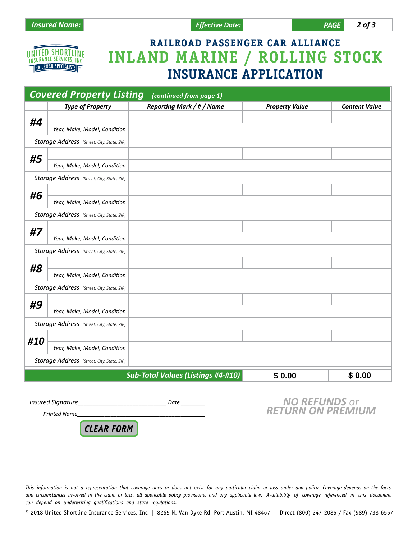

# **RAILROAD PASSENGER CAR ALLIANCE INLAND MARINE / ROLLING STOCK INSURANCE APPLICATION**

| <b>Covered Property Listing</b><br>(continued from page 1) |                                            |                                           |                       |                      |  |
|------------------------------------------------------------|--------------------------------------------|-------------------------------------------|-----------------------|----------------------|--|
|                                                            | <b>Type of Property</b>                    | <b>Reporting Mark / # / Name</b>          | <b>Property Value</b> | <b>Content Value</b> |  |
| #4                                                         |                                            |                                           |                       |                      |  |
|                                                            | Year, Make, Model, Condition               |                                           |                       |                      |  |
|                                                            | Storage Address (Street, City, State, ZIP) |                                           |                       |                      |  |
| #5                                                         |                                            |                                           |                       |                      |  |
|                                                            | Year, Make, Model, Condition               |                                           |                       |                      |  |
|                                                            | Storage Address (Street, City, State, ZIP) |                                           |                       |                      |  |
| #6                                                         |                                            |                                           |                       |                      |  |
|                                                            | Year, Make, Model, Condition               |                                           |                       |                      |  |
|                                                            | Storage Address (Street, City, State, ZIP) |                                           |                       |                      |  |
| #7                                                         |                                            |                                           |                       |                      |  |
|                                                            | Year, Make, Model, Condition               |                                           |                       |                      |  |
|                                                            | Storage Address (Street, City, State, ZIP) |                                           |                       |                      |  |
| #8                                                         |                                            |                                           |                       |                      |  |
|                                                            | Year, Make, Model, Condition               |                                           |                       |                      |  |
|                                                            | Storage Address (Street, City, State, ZIP) |                                           |                       |                      |  |
| #9                                                         |                                            |                                           |                       |                      |  |
|                                                            | Year, Make, Model, Condition               |                                           |                       |                      |  |
|                                                            | Storage Address (Street, City, State, ZIP) |                                           |                       |                      |  |
| #10                                                        |                                            |                                           |                       |                      |  |
|                                                            | Year, Make, Model, Condition               |                                           |                       |                      |  |
|                                                            | Storage Address (Street, City, State, ZIP) |                                           |                       |                      |  |
|                                                            |                                            | <b>Sub-Total Values (Listings #4-#10)</b> | \$0.00                | \$0.00               |  |
|                                                            |                                            |                                           |                       |                      |  |

*Insured Signature\_\_\_\_\_\_\_\_\_\_\_\_\_\_\_\_\_\_\_\_\_\_\_\_\_\_\_\_\_ Date \_\_\_\_\_\_\_\_*

*NO REFUNDS or RETURN ON PREMIUM*

*Printed Name\_\_\_\_\_\_\_\_\_\_\_\_\_\_\_\_\_\_\_\_\_\_\_\_\_\_\_\_\_\_\_\_\_\_\_\_\_\_\_\_\_\_*

*CLEAR FORM*

*This information is not a representation that coverage does or does not exist for any particular claim or loss under any policy. Coverage depends on the facts*  and circumstances involved in the claim or loss, all applicable policy provisions, and any applicable law. Availability of coverage referenced in this document *can depend on underwriting qualifications and state regulations.* 

© 2018 United Shortline Insurance Services, Inc | 8265 N. Van Dyke Rd, Port Austin, MI 48467 | Direct (800) 247-2085 / Fax (989) 738-6557